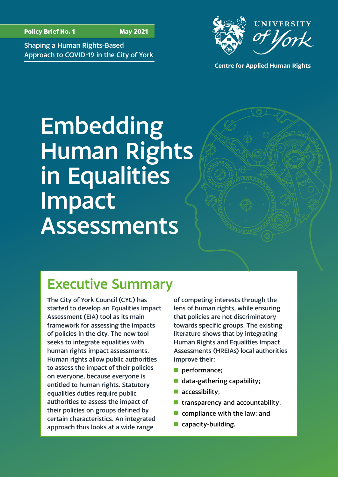UNIVERSITY

Shaping a Human Rights-Based Approach to COVID-19 in the City of York



# Embedding Human Rights in Equalities Impact Assessments

Executive Summary

**T**he City of York Council (CYC) has started to develop an Equalities Impact Assessment (EIA) tool as its main framework for assessing the impacts of policies in the city. The new tool seeks to integrate equalities with human rights impact assessments. Human rights allow public authorities to assess the impact of their policies on everyone, because everyone is entitled to human rights. Statutory equalities duties require public authorities to assess the impact of their policies on groups defined by certain characteristics. An integrated approach thus looks at a wide range

of competing interests through the lens of human rights, while ensuring that policies are not discriminatory towards specific groups. The existing literature shows that by integrating Human Rights and Equalities Impact Assessments (HREIAs) local authorities improve their:

- $\blacksquare$  performance;
- $\blacksquare$  data-gathering capability;
- $\blacksquare$  accessibility;
- **n** transparency and accountability;
- $\blacksquare$  compliance with the law; and
- $\blacksquare$  capacity-building.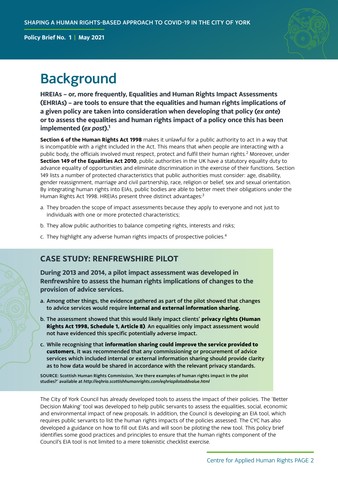

## <span id="page-1-0"></span>**Background**

**HREIAs – or, more frequently, Equalities and Human Rights Impact Assessments (EHRIAs) – are tools to ensure that the equalities and human rights implications of a given policy are taken into consideration when developing that policy (***ex ante***) or to assess the equalities and human rights impact of a policy once this has been implemented (***ex post***)[.1](#page-7-0)**

**Section 6 of the Human Rights Act 1998** makes it unlawful for a public authority to act in a way that is incompatible with a right included in the Act. This means that when people are interacting with a public body, the officials involved must respect, protect and fulfil their human rights.<sup>[2](#page-7-0)</sup> Moreover, under **Section 149 of the Equalities Act 2010**, public authorities in the UK have a statutory equality duty to advance equality of opportunities and eliminate discrimination in the exercise of their functions. Section 149 lists a number of protected characteristics that public authorities must consider: age, disability, gender reassignment, marriage and civil partnership, race, religion or belief, sex and sexual orientation. By integrating human rights into EIAs, public bodies are able to better meet their obligations under the Human Rights Act 1998. HREIAs present three distinct advantages:<sup>[3](#page-7-0)</sup>

- a. They broaden the scope of impact assessments because they apply to everyone and not just to individuals with one or more protected characteristics;
- b. They allow public authorities to balance competing rights, interests and risks;
- c. They highlight any adverse human rights impacts of prospective policies[.4](#page-7-0)

## **CASE STUDY: RENFREWSHIRE PILOT**

**During 2013 and 2014, a pilot impact assessment was developed in Renfrewshire to assess the human rights implications of changes to the provision of advice services.** 

- a. Among other things, the evidence gathered as part of the pilot showed that changes to advice services would require **internal and external information sharing.**
- b. The assessment showed that this would likely impact clients' **privacy rights (Human Rights Act 1998, Schedule 1, Article 8)***.* An equalities only impact assessment would not have evidenced this specific potentially adverse impact.
- c. While recognising that **information sharing could improve the service provided to customers**, it was recommended that any commissioning or procurement of advice services which included internal or external information sharing should provide clarity as to how data would be shared in accordance with the relevant privacy standards.

SOURCE: Scottish Human Rights Commission, 'Are there examples of human rights impact in the pilot studies?' available at *<http://eqhria.scottishhumanrights.com/eqhriapilotaddvalue.html>*

The City of York Council has already developed tools to assess the impact of their policies. The 'Better Decision Making' tool was developed to help public servants to assess the equalities, social, economic and environmental impact of new proposals. In addition, the Council is developing an EIA tool, which requires public servants to list the human rights impacts of the policies assessed. The CYC has also developed a guidance on how to fill out EIAs and will soon be piloting the new tool. This policy brief identifies some good practices and principles to ensure that the human rights component of the Council's EIA tool is not limited to a mere tokenistic checklist exercise.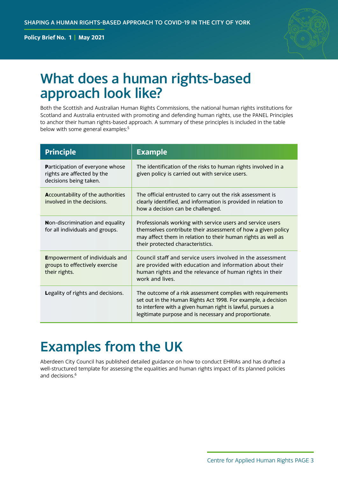

## <span id="page-2-0"></span>What does a human rights-based approach look like?

Both the Scottish and Australian Human Rights Commissions, the national human rights institutions for Scotland and Australia entrusted with promoting and defending human rights, use the PANEL Principles to anchor their human rights-based approach. A summary of these principles is included in the table below with some general examples:<sup>5</sup>

| <b>Principle</b>                                                                               | <b>Example</b>                                                                                                                                                                                                                                       |
|------------------------------------------------------------------------------------------------|------------------------------------------------------------------------------------------------------------------------------------------------------------------------------------------------------------------------------------------------------|
| <b>Participation of everyone whose</b><br>rights are affected by the<br>decisions being taken. | The identification of the risks to human rights involved in a<br>given policy is carried out with service users.                                                                                                                                     |
| <b>Accountability of the authorities</b><br>involved in the decisions.                         | The official entrusted to carry out the risk assessment is<br>clearly identified, and information is provided in relation to<br>how a decision can be challenged.                                                                                    |
| <b>Non-discrimination and equality</b><br>for all individuals and groups.                      | Professionals working with service users and service users<br>themselves contribute their assessment of how a given policy<br>may affect them in relation to their human rights as well as<br>their protected characteristics.                       |
| <b>E</b> mpowerment of individuals and<br>groups to effectively exercise<br>their rights.      | Council staff and service users involved in the assessment<br>are provided with education and information about their<br>human rights and the relevance of human rights in their<br>work and lives.                                                  |
| <b>Legality of rights and decisions.</b>                                                       | The outcome of a risk assessment complies with requirements<br>set out in the Human Rights Act 1998. For example, a decision<br>to interfere with a given human right is lawful, pursues a<br>legitimate purpose and is necessary and proportionate. |

## Examples from the UK

Aberdeen City Council has published detailed guidance on how to conduct EHRIAs and has drafted a well-structured template for assessing the equalities and human rights impact of its planned policies and decisions[.6](#page-7-0)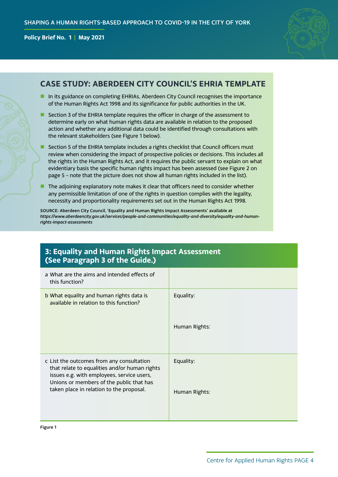

### **CASE STUDY: ABERDEEN CITY COUNCIL'S EHRIA TEMPLATE**

- In its guidance on completing EHRIAs, Aberdeen City Council recognises the importance of the Human Rights Act 1998 and its significance for public authorities in the UK.
- **n** Section 3 of the EHRIA template requires the officer in charge of the assessment to determine early on what human rights data are available in relation to the proposed action and whether any additional data could be identified through consultations with the relevant stakeholders (see Figure 1 below).
- **n** Section 5 of the EHRIA template includes a rights checklist that Council officers must review when considering the impact of prospective policies or decisions. This includes all the rights in the Human Rights Act, and it requires the public servant to explain on what evidentiary basis the specific human rights impact has been assessed (see Figure 2 on page 5 – note that the picture does not show all human rights included in the list).
- $\blacksquare$  The adjoining explanatory note makes it clear that officers need to consider whether any permissible limitation of one of the rights in question complies with the legality, necessity and proportionality requirements set out in the Human Rights Act 1998.

SOURCE: Aberdeen City Council, 'Equality and Human Rights Impact Assessments' available at *[https://www.aberdeencity.gov.uk/services/people-and-communities/equality-and-diversity/equality-and-human](https://www.aberdeencity.gov.uk/services/people-and-communities/equality-and-diversity/equality-and-human-rights-impact-assessments)[rights-impact-assessments](https://www.aberdeencity.gov.uk/services/people-and-communities/equality-and-diversity/equality-and-human-rights-impact-assessments)*

### **3: Equality and Human Rights Impact Assessment (See Paragraph 3 of the Guide.)**

| a What are the aims and intended effects of<br>this function?                                                                                                                        |               |
|--------------------------------------------------------------------------------------------------------------------------------------------------------------------------------------|---------------|
| b What equality and human rights data is<br>available in relation to this function?                                                                                                  | Equality:     |
|                                                                                                                                                                                      | Human Rights: |
| c List the outcomes from any consultation<br>that relate to equalities and/or human rights<br>issues e.g. with employees, service users,<br>Unions or members of the public that has | Equality:     |
| taken place in relation to the proposal.                                                                                                                                             | Human Rights: |

Figure 1

Centre for Applied Human Rights PAGE 4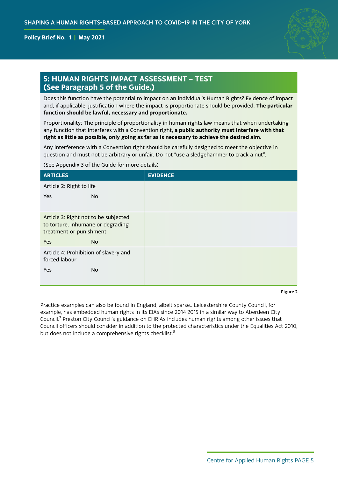

### <span id="page-4-0"></span>**5: HUMAN RIGHTS IMPACT ASSESSMENT – TEST (See Paragraph 5 of the Guide.)**

Does this function have the potential to impact on an individual's Human Rights? Evidence of impact and, if applicable, justification where the impact is proportionate should be provided. **The particular function should be lawful, necessary and proportionate.**

Proportionality: The principle of proportionality in human rights law means that when undertaking any function that interferes with a Convention right, **a public authority must interfere with that right as little as possible, only going as far as is necessary to achieve the desired aim.**

Any interference with a Convention right should be carefully designed to meet the objective in question and must not be arbitrary or unfair. Do not "use a sledgehammer to crack a nut".

#### (See Appendix 3 of the Guide for more details)

| <b>ARTICLES</b>                                                                                      | <b>EVIDENCE</b> |
|------------------------------------------------------------------------------------------------------|-----------------|
| Article 2: Right to life                                                                             |                 |
| <b>Yes</b><br>No                                                                                     |                 |
|                                                                                                      |                 |
| Article 3: Right not to be subjected<br>to torture, inhumane or degrading<br>treatment or punishment |                 |
| <b>Yes</b><br><b>No</b>                                                                              |                 |
| Article 4: Prohibition of slavery and<br>forced labour                                               |                 |
| <b>No</b><br><b>Yes</b>                                                                              |                 |
|                                                                                                      |                 |

Figure 2

Practice examples can also be found in England, albeit sparse.. Leicestershire County Council, for example, has embedded human rights in its EIAs since 2014-2015 in a similar way to Aberdeen City Council.<sup>7</sup> Preston City Council's guidance on EHRIAs includes human rights among other issues that Council officers should consider in addition to the protected characteristics under the Equalities Act 2010, but does not include a comprehensive rights checklist.<sup>[8](#page-7-0)</sup>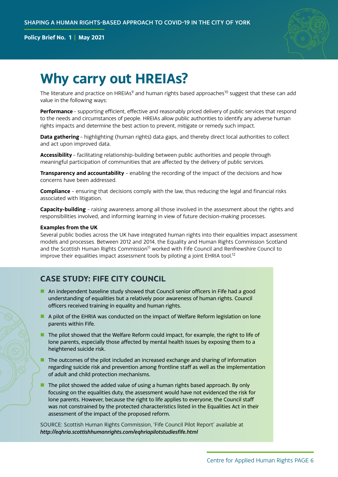

## <span id="page-5-0"></span>**Why carry out HREIAs?**

The literature and practice on HREIAs<sup>[9](#page-7-0)</sup> and human rights based approaches<sup>10</sup> suggest that these can add value in the following ways:

**Performance** – supporting efficient, effective and reasonably priced delivery of public services that respond to the needs and circumstances of people. HREIAs allow public authorities to identify any adverse human rights impacts and determine the best action to prevent, mitigate or remedy such impact.

**Data gathering** – highlighting (human rights) data gaps, and thereby direct local authorities to collect and act upon improved data.

**Accessibility** – facilitating relationship-building between public authorities and people through meaningful participation of communities that are affected by the delivery of public services.

**Transparency and accountability** – enabling the recording of the impact of the decisions and how concerns have been addressed.

**Compliance** – ensuring that decisions comply with the law, thus reducing the legal and financial risks associated with litigation.

**Capacity-building** – raising awareness among all those involved in the assessment about the rights and responsibilities involved, and informing learning in view of future decision-making processes.

#### **Examples from the UK**

Several public bodies across the UK have integrated human rights into their equalities impact assessment models and processes. Between 2012 and 2014, the Equality and Human Rights Commission Scotland and the Scottish Human Rights Commission<sup>11</sup> worked with Fife Council and Renfrewshire Council to improve their equalities impact assessment tools by piloting a joint EHRIA tool.<sup>12</sup>

## **CASE STUDY: FIFE CITY COUNCIL**

- **n** An independent baseline study showed that Council senior officers in Fife had a good understanding of equalities but a relatively poor awareness of human rights. Council officers received training in equality and human rights.
- A pilot of the EHRIA was conducted on the impact of Welfare Reform legislation on lone parents within Fife.
- **n** The pilot showed that the Welfare Reform could impact, for example, the right to life of lone parents, especially those affected by mental health issues by exposing them to a heightened suicide risk.
- $\blacksquare$  The outcomes of the pilot included an increased exchange and sharing of information regarding suicide risk and prevention among frontline staff as well as the implementation of adult and child protection mechanisms.
- $\blacksquare$  The pilot showed the added value of using a human rights based approach. By only focusing on the equalities duty, the assessment would have not evidenced the risk for lone parents. However, because the right to life applies to everyone, the Council staff was not constrained by the protected characteristics listed in the Equalities Act in their assessment of the impact of the proposed reform.

SOURCE: Scottish Human Rights Commission, 'Fife Council Pilot Report' available at *<http://eqhria.scottishhumanrights.com/eqhriapilotstudiesfife.html>*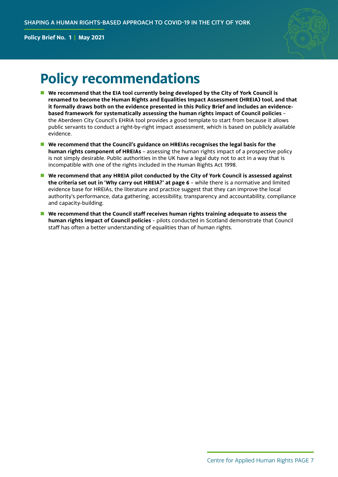

## **Policy recommendations**

- We recommend that the EIA tool currently being developed by the City of York Council is **renamed to become the Human Rights and Equalities Impact Assessment (HREIA) tool, and that it formally draws both on the evidence presented in this Policy Brief and includes an evidencebased framework for systematically assessing the human rights impact of Council policies** – the Aberdeen City Council's EHRIA tool provides a good template to start from because it allows public servants to conduct a right-by-right impact assessment, which is based on publicly available evidence.
- **n** We recommend that the Council's guidance on HREIAs recognises the legal basis for the **human rights component of HREIAs** – assessing the human rights impact of a prospective policy is not simply desirable. Public authorities in the UK have a legal duty not to act in a way that is incompatible with one of the rights included in the Human Rights Act 1998.
- **N** We recommend that any HREIA pilot conducted by the City of York Council is assessed against **the criteria set out in 'Why carry out HREIA?' at page 6** – while there is a normative and limited evidence base for HREIAs, the literature and practice suggest that they can improve the local authority's performance, data gathering, accessibility, transparency and accountability, compliance and capacity-building.
- We recommend that the Council staff receives human rights training adequate to assess the **human rights impact of Council policies** – pilots conducted in Scotland demonstrate that Council staff has often a better understanding of equalities than of human rights.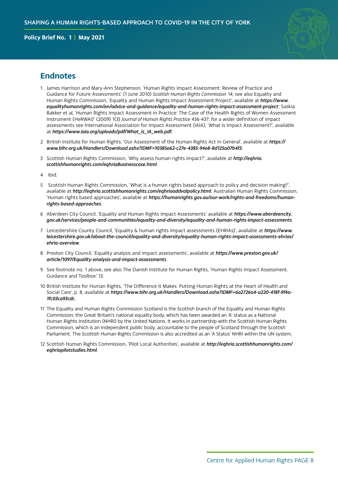

### <span id="page-7-0"></span>**Endnotes**

- [1](#page-1-0) James Harrison and Mary-Ann Stephenson, 'Human Rights Impact Assessment: Review of Practice and Guidance for Future Assessments' (1 June 2010) *Scottish Human Rights Commission* 14; see also Equality and Human Rights Commission, 'Equality and Human Rights Impact Assessment Project', available at *[https://www.](https://www.equalityhumanrights.com/en/advice-and-guidance/equality-and-human-rights-impact-assessment-project) [equalityhumanrights.com/en/advice-and-guidance/equality-and-human-rights-impact-assessment-project](https://www.equalityhumanrights.com/en/advice-and-guidance/equality-and-human-rights-impact-assessment-project)*; Saskia Bakker et al, 'Human Rights Impact Assessment in Practice: The Case of the Health Rights of Women Assessment Instrument (HeRWAI)' (2009) 1(3) *Journal of Human Rights Practice* 436-437; for a wider definition of impact assessments see International Association for Impact Assessment (IAIA), 'What Is Impact Assessment?', available at *https://www.iaia.org/uploads/pdf/What\_is\_IA\_web.pdf.*
- [2](#page-1-0) British Institute for Human Rights, 'Our Assessment of the Human Rights Act in General', available at *[https://](https://www.bihr.org.uk/Handlers/Download.ashx?IDMF=10385e62-c27e-4385-94e8-8d125a07b4f3) [www.bihr.org.uk/Handlers/Download.ashx?IDMF=10385e62-c27e-4385-94e8-8d125a07b4f3](https://www.bihr.org.uk/Handlers/Download.ashx?IDMF=10385e62-c27e-4385-94e8-8d125a07b4f3)*.
- [3](#page-1-0) Scottish Human Rights Commission, 'Why assess human rights impact?', available at *[http://eqhria.](http://eqhria.scottishhumanrights.com/eqhriaBusinesscase.html) [scottishhumanrights.com/eqhriaBusinesscase.html](http://eqhria.scottishhumanrights.com/eqhriaBusinesscase.html)*.
- [4](#page-1-0) Ibid.
- [5](#page-2-0) Scottish Human Rights Commission, 'What is a human rights based approach to policy and decision making?', available at *<http://eqhria.scottishhumanrights.com/eqhriaaddvalpolicy.html>*; Australian Human Rights Commission, 'Human rights based approaches', available at *[https://humanrights.gov.au/our-work/rights-and-freedoms/human](https://humanrights.gov.au/our-work/rights-and-freedoms/human-rights-based-approaches)[rights-based-approaches](https://humanrights.gov.au/our-work/rights-and-freedoms/human-rights-based-approaches)*.
- [6](#page-2-0) Aberdeen City Council, 'Equality and Human Rights Impact Assessments' available at *[https://www.aberdeencity.](https://www.aberdeencity.gov.uk/services/people-and-communities/equality-and-diversity/equality-and-human-rights-impact-assessments) [gov.uk/services/people-and-communities/equality-and-diversity/equality-and-human-rights-impact-assessments](https://www.aberdeencity.gov.uk/services/people-and-communities/equality-and-diversity/equality-and-human-rights-impact-assessments)*.
- [7](#page-4-0) Leicestershire County Council, 'Equality & human rights impact assessments (EHRIAs)', available at *[https://www.](https://www.leicestershire.gov.uk/about-the-council/equality-and-diversity/equality-human-rights-impact-assessments-ehrias/ehria-overview) [leicestershire.gov.uk/about-the-council/equality-and-diversity/equality-human-rights-impact-assessments-ehrias/](https://www.leicestershire.gov.uk/about-the-council/equality-and-diversity/equality-human-rights-impact-assessments-ehrias/ehria-overview) [ehria-overview](https://www.leicestershire.gov.uk/about-the-council/equality-and-diversity/equality-human-rights-impact-assessments-ehrias/ehria-overview)*.
- [8](#page-4-0) Preston City Council, 'Equality analysis and impact assessments', available at *[https://www.preston.gov.uk/](https://www.preston.gov.uk/article/1097/Equality-analysis-and-impact-assessments) [article/1097/Equality-analysis-and-impact-assessments](https://www.preston.gov.uk/article/1097/Equality-analysis-and-impact-assessments)*.
- [9](#page-5-0) See footnote no. 1 above; see also The Danish Institute for Human Rights, 'Human Rights Impact Assessment. Guidance and Toolbox' 13.
- [10](#page-5-0) British Institute for Human Rights, 'The Difference It Makes: Putting Human Rights at the Heart of Health and Social Care', p. 8, available at *[https://www.bihr.org.uk/Handlers/Download.ashx?IDMF=6a2726a4-a220-418f-9f4a-](https://www.bihr.org.uk/Handlers/Download.ashx?IDMF=6a2726a4-a220-418f-9f4a-1fc03ca93cdc)[1fc03ca93cdc](https://www.bihr.org.uk/Handlers/Download.ashx?IDMF=6a2726a4-a220-418f-9f4a-1fc03ca93cdc)*.
- [11](#page-5-0) The Equality and Human Rights Commission Scotland is the Scottish branch of the Equality and Human Rights Commission, the Great Britain's national equality body, which has been awarded an 'A' status as a National Human Rights Institution (NHRI) by the United Nations. It works in partnership with the Scottish Human Rights Commission, which is an independent public body, accountable to the people of Scotland through the Scottish Parliament. The Scottish Human Rights Commission is also accredited as an 'A Status' NHRI within the UN system.
- [12](#page-5-0) Scottish Human Rights Commission, 'Pilot Local Authorities', available at *[http://eqhria.scottishhumanrights.com/](http://eqhria.scottishhumanrights.com/eqhriapilotstudies.html) [eqhriapilotstudies.html](http://eqhria.scottishhumanrights.com/eqhriapilotstudies.html)*.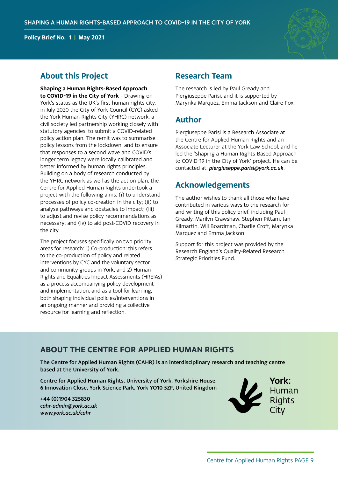

## **About this Project**

**Shaping a Human Rights-Based Approach to COVID-19 in the City of York** – Drawing on York's status as the UK's first human rights city, in July 2020 the City of York Council (CYC) asked the York Human Rights City (YHRC) network, a civil society led partnership working closely with statutory agencies, to submit a COVID-related policy action plan. The remit was to summarise policy lessons from the lockdown, and to ensure that responses to a second wave and COVID's longer term legacy were locally calibrated and better informed by human rights principles. Building on a body of research conducted by the YHRC network as well as the action plan, the Centre for Applied Human Rights undertook a project with the following aims: (i) to understand processes of policy co-creation in the city; (ii) to analyse pathways and obstacles to impact; (iii) to adjust and revise policy recommendations as necessary; and (iv) to aid post-COVID recovery in the city.

The project focuses specifically on two priority areas for research: 1) Co-production: this refers to the co-production of policy and related interventions by CYC and the voluntary sector and community groups in York; and 2) Human Rights and Equalities Impact Assessments (HREIAs) as a process accompanying policy development and implementation, and as a tool for learning, both shaping individual policies/interventions in an ongoing manner and providing a collective resource for learning and reflection.

### **Research Team**

The research is led by Paul Gready and Piergiuseppe Parisi, and it is supported by Marynka Marquez, Emma Jackson and Claire Fox.

## **Author**

Piergiuseppe Parisi is a Research Associate at the Centre for Applied Human Rights and an Associate Lecturer at the York Law School, and he led the 'Shaping a Human Rights-Based Approach to COVID-19 in the City of York' project. He can be contacted at: *[piergiuseppe.parisi@york.ac.uk](mailto:piergiuseppe.parisi@york.ac.uk)*.

## **Acknowledgements**

The author wishes to thank all those who have contributed in various ways to the research for and writing of this policy brief, including Paul Gready, Marilyn Crawshaw, Stephen Pittam, Jan Kilmartin, Will Boardman, Charlie Croft, Marynka Marquez and Emma Jackson.

Support for this project was provided by the Research England's Quality-Related Research Strategic Priorities Fund.

## **ABOUT THE CENTRE FOR APPLIED HUMAN RIGHTS**

The Centre for Applied Human Rights (CAHR) is an interdisciplinary research and teaching centre based at the University of York.

Centre for Applied Human Rights, University of York, Yorkshire House, 6 Innovation Close, York Science Park, York YO10 5ZF, United Kingdom

+44 (0)1904 325830 *[cahr-admin@york.ac.uk](mailto:cahr-admin%40york.ac.uk%20?subject=) [www.york.ac.uk/cahr](https://www.york.ac.uk/cahr/)*